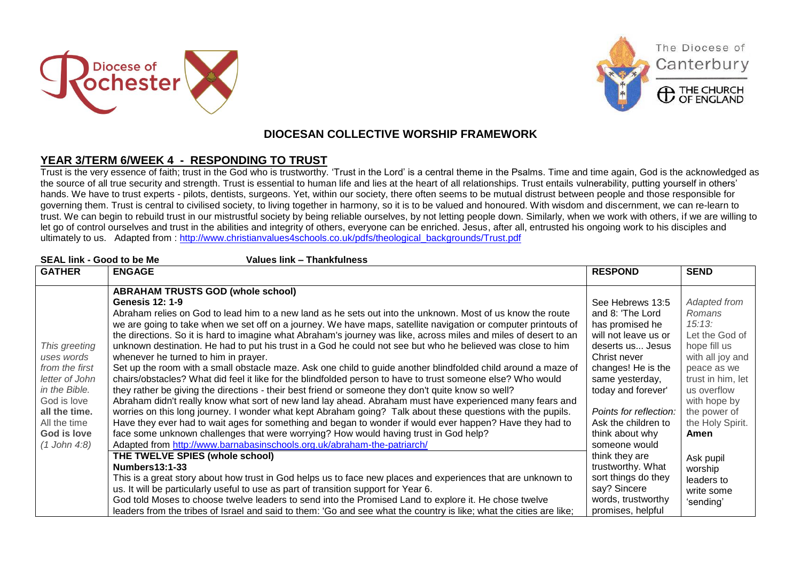





The Diocese of

Canterbury

## **DIOCESAN COLLECTIVE WORSHIP FRAMEWORK**

## **YEAR 3/TERM 6/WEEK 4 - RESPONDING TO TRUST**

Trust is the very essence of faith; trust in the God who is trustworthy. 'Trust in the Lord' is a central theme in the Psalms. Time and time again, God is the acknowledged as the source of all true security and strength. Trust is essential to human life and lies at the heart of all relationships. Trust entails vulnerability, putting yourself in others' hands. We have to trust experts - pilots, dentists, surgeons. Yet, within our society, there often seems to be mutual distrust between people and those responsible for governing them. Trust is central to civilised society, to living together in harmony, so it is to be valued and honoured. With wisdom and discernment, we can re-learn to trust. We can begin to rebuild trust in our mistrustful society by being reliable ourselves, by not letting people down. Similarly, when we work with others, if we are willing to let go of control ourselves and trust in the abilities and integrity of others, everyone can be enriched. Jesus, after all, entrusted his ongoing work to his disciples and ultimately to us. Adapted from : [http://www.christianvalues4schools.co.uk/pdfs/theological\\_backgrounds/Trust.pdf](http://www.christianvalues4schools.co.uk/pdfs/theological_backgrounds/Trust.pdf)

| <b>SEAL link - Good to be Me</b><br>Values link - Thankfulness |                                                                                                                                                                                                                                                                                                                                                                                                                                                                                                                                                                                                                                                                                                |                                                                                                                                           |                                                                                                       |  |  |
|----------------------------------------------------------------|------------------------------------------------------------------------------------------------------------------------------------------------------------------------------------------------------------------------------------------------------------------------------------------------------------------------------------------------------------------------------------------------------------------------------------------------------------------------------------------------------------------------------------------------------------------------------------------------------------------------------------------------------------------------------------------------|-------------------------------------------------------------------------------------------------------------------------------------------|-------------------------------------------------------------------------------------------------------|--|--|
| <b>GATHER</b>                                                  | <b>ENGAGE</b>                                                                                                                                                                                                                                                                                                                                                                                                                                                                                                                                                                                                                                                                                  | <b>RESPOND</b>                                                                                                                            | <b>SEND</b>                                                                                           |  |  |
| This greeting<br>uses words<br>from the first                  | <b>ABRAHAM TRUSTS GOD (whole school)</b><br><b>Genesis 12: 1-9</b><br>Abraham relies on God to lead him to a new land as he sets out into the unknown. Most of us know the route<br>we are going to take when we set off on a journey. We have maps, satellite navigation or computer printouts of<br>the directions. So it is hard to imagine what Abraham's journey was like, across miles and miles of desert to an<br>unknown destination. He had to put his trust in a God he could not see but who he believed was close to him<br>whenever he turned to him in prayer.<br>Set up the room with a small obstacle maze. Ask one child to guide another blindfolded child around a maze of | See Hebrews 13:5<br>and 8: 'The Lord<br>has promised he<br>will not leave us or<br>deserts us Jesus<br>Christ never<br>changes! He is the | Adapted from<br>Romans<br>15:13:<br>Let the God of<br>hope fill us<br>with all joy and<br>peace as we |  |  |
| letter of John<br>in the Bible.<br>God is love                 | chairs/obstacles? What did feel it like for the blindfolded person to have to trust someone else? Who would<br>they rather be giving the directions - their best friend or someone they don't quite know so well?<br>Abraham didn't really know what sort of new land lay ahead. Abraham must have experienced many fears and                                                                                                                                                                                                                                                                                                                                                                  | same yesterday,<br>today and forever'                                                                                                     | trust in him, let<br>us overflow<br>with hope by                                                      |  |  |
| all the time.<br>All the time<br>God is love<br>(1 John 4:8)   | worries on this long journey. I wonder what kept Abraham going? Talk about these questions with the pupils.<br>Have they ever had to wait ages for something and began to wonder if would ever happen? Have they had to<br>face some unknown challenges that were worrying? How would having trust in God help?<br>Adapted from http://www.barnabasinschools.org.uk/abraham-the-patriarch/                                                                                                                                                                                                                                                                                                     | Points for reflection:<br>Ask the children to<br>think about why<br>someone would                                                         | the power of<br>the Holy Spirit.<br>Amen                                                              |  |  |
|                                                                | THE TWELVE SPIES (whole school)<br><b>Numbers13:1-33</b><br>This is a great story about how trust in God helps us to face new places and experiences that are unknown to<br>us. It will be particularly useful to use as part of transition support for Year 6.<br>God told Moses to choose twelve leaders to send into the Promised Land to explore it. He chose twelve<br>leaders from the tribes of Israel and said to them: 'Go and see what the country is like; what the cities are like;                                                                                                                                                                                                | think they are<br>trustworthy. What<br>sort things do they<br>say? Sincere<br>words, trustworthy<br>promises, helpful                     | Ask pupil<br>worship<br>leaders to<br>write some<br>'sending'                                         |  |  |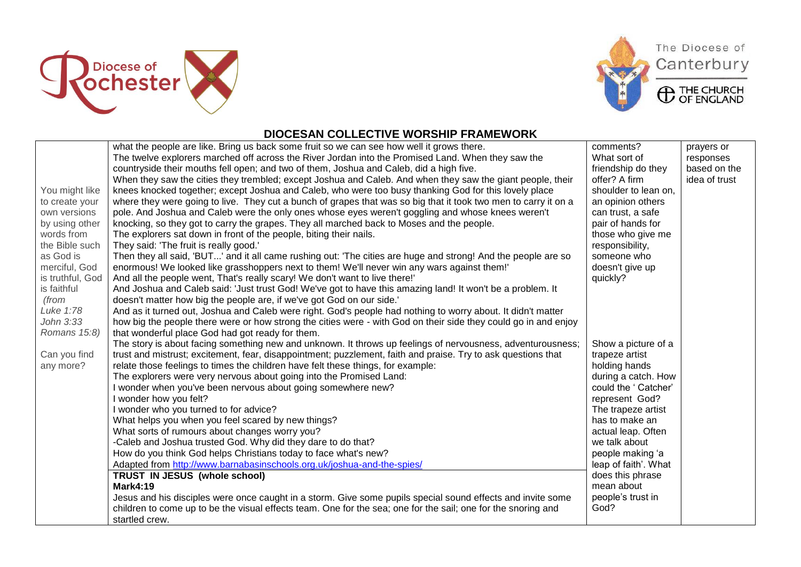





## **DIOCESAN COLLECTIVE WORSHIP FRAMEWORK**

|                  | what the people are like. Bring us back some fruit so we can see how well it grows there.                       | comments?            | prayers or    |
|------------------|-----------------------------------------------------------------------------------------------------------------|----------------------|---------------|
|                  | The twelve explorers marched off across the River Jordan into the Promised Land. When they saw the              | What sort of         | responses     |
|                  | countryside their mouths fell open; and two of them, Joshua and Caleb, did a high five.                         | friendship do they   | based on the  |
|                  | When they saw the cities they trembled; except Joshua and Caleb. And when they saw the giant people, their      | offer? A firm        | idea of trust |
| You might like   | knees knocked together; except Joshua and Caleb, who were too busy thanking God for this lovely place           | shoulder to lean on, |               |
| to create your   | where they were going to live. They cut a bunch of grapes that was so big that it took two men to carry it on a | an opinion others    |               |
| own versions     | pole. And Joshua and Caleb were the only ones whose eyes weren't goggling and whose knees weren't               | can trust, a safe    |               |
| by using other   | knocking, so they got to carry the grapes. They all marched back to Moses and the people.                       | pair of hands for    |               |
| words from       | The explorers sat down in front of the people, biting their nails.                                              | those who give me    |               |
| the Bible such   | They said: 'The fruit is really good.'                                                                          | responsibility,      |               |
| as God is        | Then they all said, 'BUT' and it all came rushing out: 'The cities are huge and strong! And the people are so   | someone who          |               |
| merciful, God    | enormous! We looked like grasshoppers next to them! We'll never win any wars against them!'                     | doesn't give up      |               |
| is truthful, God | And all the people went, That's really scary! We don't want to live there!'                                     | quickly?             |               |
| is faithful      | And Joshua and Caleb said: 'Just trust God! We've got to have this amazing land! It won't be a problem. It      |                      |               |
| (from            | doesn't matter how big the people are, if we've got God on our side.'                                           |                      |               |
| Luke 1:78        | And as it turned out, Joshua and Caleb were right. God's people had nothing to worry about. It didn't matter    |                      |               |
| John 3:33        | how big the people there were or how strong the cities were - with God on their side they could go in and enjoy |                      |               |
| Romans 15:8)     | that wonderful place God had got ready for them.                                                                |                      |               |
|                  | The story is about facing something new and unknown. It throws up feelings of nervousness, adventurousness;     | Show a picture of a  |               |
| Can you find     | trust and mistrust; excitement, fear, disappointment; puzzlement, faith and praise. Try to ask questions that   | trapeze artist       |               |
| any more?        | relate those feelings to times the children have felt these things, for example:                                | holding hands        |               |
|                  | The explorers were very nervous about going into the Promised Land:                                             | during a catch. How  |               |
|                  | I wonder when you've been nervous about going somewhere new?                                                    | could the ' Catcher' |               |
|                  | wonder how you felt?                                                                                            | represent God?       |               |
|                  | I wonder who you turned to for advice?                                                                          | The trapeze artist   |               |
|                  | What helps you when you feel scared by new things?                                                              | has to make an       |               |
|                  | What sorts of rumours about changes worry you?                                                                  | actual leap. Often   |               |
|                  | -Caleb and Joshua trusted God. Why did they dare to do that?                                                    | we talk about        |               |
|                  | How do you think God helps Christians today to face what's new?                                                 | people making 'a     |               |
|                  | Adapted from http://www.barnabasinschools.org.uk/joshua-and-the-spies/                                          | leap of faith'. What |               |
|                  | TRUST IN JESUS (whole school)                                                                                   | does this phrase     |               |
|                  | <b>Mark4:19</b>                                                                                                 | mean about           |               |
|                  | Jesus and his disciples were once caught in a storm. Give some pupils special sound effects and invite some     | people's trust in    |               |
|                  | children to come up to be the visual effects team. One for the sea; one for the sail; one for the snoring and   | God?                 |               |
|                  | startled crew.                                                                                                  |                      |               |